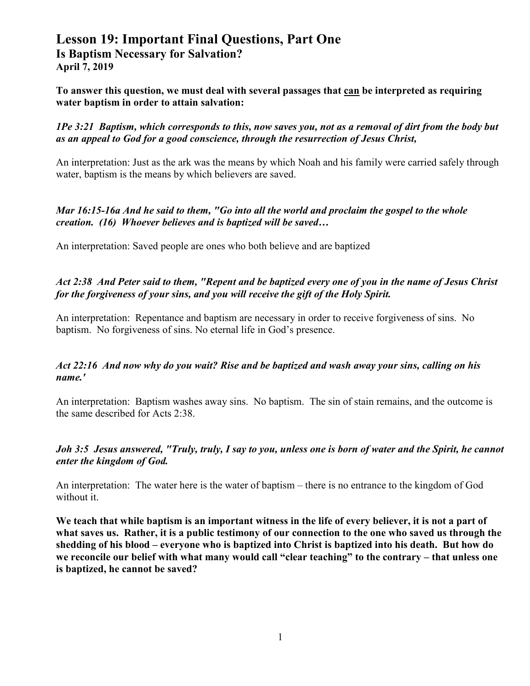# **Lesson 19: Important Final Questions, Part One Is Baptism Necessary for Salvation? April 7, 2019**

**To answer this question, we must deal with several passages that can be interpreted as requiring water baptism in order to attain salvation:** 

*1Pe 3:21 Baptism, which corresponds to this, now saves you, not as a removal of dirt from the body but as an appeal to God for a good conscience, through the resurrection of Jesus Christ,* 

An interpretation: Just as the ark was the means by which Noah and his family were carried safely through water, baptism is the means by which believers are saved.

## *Mar 16:15-16a And he said to them, "Go into all the world and proclaim the gospel to the whole creation. (16) Whoever believes and is baptized will be saved…*

An interpretation: Saved people are ones who both believe and are baptized

# *Act 2:38 And Peter said to them, "Repent and be baptized every one of you in the name of Jesus Christ for the forgiveness of your sins, and you will receive the gift of the Holy Spirit.*

An interpretation: Repentance and baptism are necessary in order to receive forgiveness of sins. No baptism. No forgiveness of sins. No eternal life in God's presence.

## *Act 22:16 And now why do you wait? Rise and be baptized and wash away your sins, calling on his name.'*

An interpretation: Baptism washes away sins. No baptism. The sin of stain remains, and the outcome is the same described for Acts 2:38.

### *Joh 3:5 Jesus answered, "Truly, truly, I say to you, unless one is born of water and the Spirit, he cannot enter the kingdom of God.*

An interpretation: The water here is the water of baptism – there is no entrance to the kingdom of God without it.

**We teach that while baptism is an important witness in the life of every believer, it is not a part of what saves us. Rather, it is a public testimony of our connection to the one who saved us through the shedding of his blood – everyone who is baptized into Christ is baptized into his death. But how do we reconcile our belief with what many would call "clear teaching" to the contrary – that unless one is baptized, he cannot be saved?**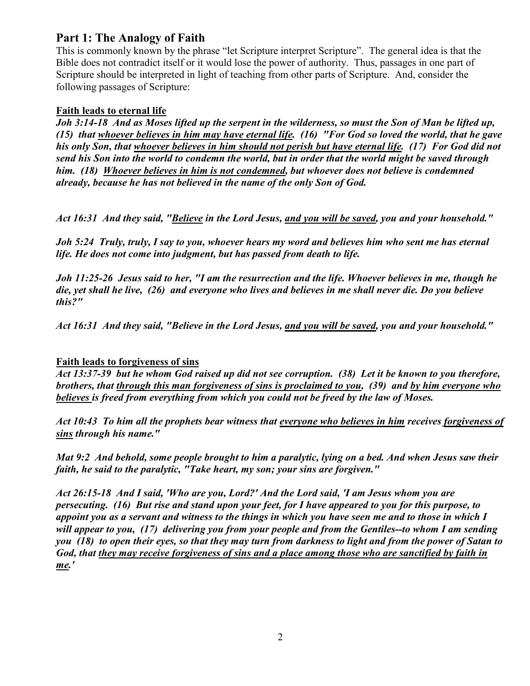# **Part 1: The Analogy of Faith**

This is commonly known by the phrase "let Scripture interpret Scripture". The general idea is that the Bible does not contradict itself or it would lose the power of authority. Thus, passages in one part of Scripture should be interpreted in light of teaching from other parts of Scripture. And, consider the following passages of Scripture:

# **Faith leads to eternal life**

*Joh 3:14-18 And as Moses lifted up the serpent in the wilderness, so must the Son of Man be lifted up, (15) that whoever believes in him may have eternal life. (16) "For God so loved the world, that he gave his only Son, that whoever believes in him should not perish but have eternal life. (17) For God did not send his Son into the world to condemn the world, but in order that the world might be saved through him. (18) Whoever believes in him is not condemned, but whoever does not believe is condemned already, because he has not believed in the name of the only Son of God.* 

*Act 16:31 And they said, "Believe in the Lord Jesus, and you will be saved, you and your household."* 

*Joh 5:24 Truly, truly, I say to you, whoever hears my word and believes him who sent me has eternal life. He does not come into judgment, but has passed from death to life.* 

*Joh 11:25-26 Jesus said to her, "I am the resurrection and the life. Whoever believes in me, though he die, yet shall he live, (26) and everyone who lives and believes in me shall never die. Do you believe this?"* 

*Act 16:31 And they said, "Believe in the Lord Jesus, and you will be saved, you and your household."* 

## **Faith leads to forgiveness of sins**

*Act 13:37-39 but he whom God raised up did not see corruption. (38) Let it be known to you therefore, brothers, that through this man forgiveness of sins is proclaimed to you, (39) and by him everyone who believes is freed from everything from which you could not be freed by the law of Moses.* 

*Act 10:43 To him all the prophets bear witness that everyone who believes in him receives forgiveness of sins through his name."* 

*Mat 9:2 And behold, some people brought to him a paralytic, lying on a bed. And when Jesus saw their faith, he said to the paralytic, "Take heart, my son; your sins are forgiven."* 

*Act 26:15-18 And I said, 'Who are you, Lord?' And the Lord said, 'I am Jesus whom you are persecuting. (16) But rise and stand upon your feet, for I have appeared to you for this purpose, to appoint you as a servant and witness to the things in which you have seen me and to those in which I will appear to you, (17) delivering you from your people and from the Gentiles--to whom I am sending you (18) to open their eyes, so that they may turn from darkness to light and from the power of Satan to God, that they may receive forgiveness of sins and a place among those who are sanctified by faith in me.'*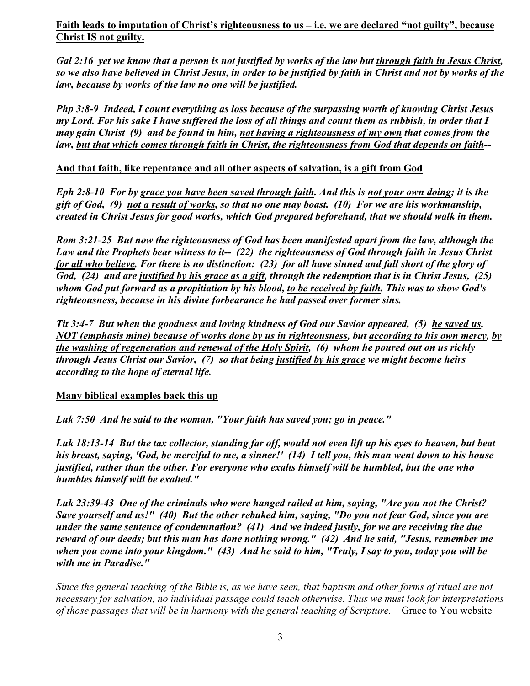**Faith leads to imputation of Christ's righteousness to us – i.e. we are declared "not guilty", because Christ IS not guilty.** 

*Gal 2:16 yet we know that a person is not justified by works of the law but through faith in Jesus Christ, so we also have believed in Christ Jesus, in order to be justified by faith in Christ and not by works of the law, because by works of the law no one will be justified.* 

*Php 3:8-9 Indeed, I count everything as loss because of the surpassing worth of knowing Christ Jesus my Lord. For his sake I have suffered the loss of all things and count them as rubbish, in order that I may gain Christ (9) and be found in him, not having a righteousness of my own that comes from the law, but that which comes through faith in Christ, the righteousness from God that depends on faith--* 

# **And that faith, like repentance and all other aspects of salvation, is a gift from God**

*Eph 2:8-10 For by grace you have been saved through faith. And this is not your own doing; it is the gift of God, (9) not a result of works, so that no one may boast. (10) For we are his workmanship, created in Christ Jesus for good works, which God prepared beforehand, that we should walk in them.* 

*Rom 3:21-25 But now the righteousness of God has been manifested apart from the law, although the Law and the Prophets bear witness to it-- (22) the righteousness of God through faith in Jesus Christ for all who believe. For there is no distinction: (23) for all have sinned and fall short of the glory of God, (24) and are justified by his grace as a gift, through the redemption that is in Christ Jesus, (25) whom God put forward as a propitiation by his blood, to be received by faith. This was to show God's righteousness, because in his divine forbearance he had passed over former sins.* 

*Tit 3:4-7 But when the goodness and loving kindness of God our Savior appeared, (5) he saved us, NOT (emphasis mine) because of works done by us in righteousness, but according to his own mercy, by the washing of regeneration and renewal of the Holy Spirit, (6) whom he poured out on us richly through Jesus Christ our Savior, (7) so that being justified by his grace we might become heirs according to the hope of eternal life.* 

#### **Many biblical examples back this up**

*Luk 7:50 And he said to the woman, "Your faith has saved you; go in peace."* 

*Luk 18:13-14 But the tax collector, standing far off, would not even lift up his eyes to heaven, but beat his breast, saying, 'God, be merciful to me, a sinner!' (14) I tell you, this man went down to his house justified, rather than the other. For everyone who exalts himself will be humbled, but the one who humbles himself will be exalted."* 

*Luk 23:39-43 One of the criminals who were hanged railed at him, saying, "Are you not the Christ? Save yourself and us!" (40) But the other rebuked him, saying, "Do you not fear God, since you are under the same sentence of condemnation? (41) And we indeed justly, for we are receiving the due reward of our deeds; but this man has done nothing wrong." (42) And he said, "Jesus, remember me when you come into your kingdom." (43) And he said to him, "Truly, I say to you, today you will be with me in Paradise."* 

*Since the general teaching of the Bible is, as we have seen, that baptism and other forms of ritual are not necessary for salvation, no individual passage could teach otherwise. Thus we must look for interpretations of those passages that will be in harmony with the general teaching of Scripture.* – Grace to You website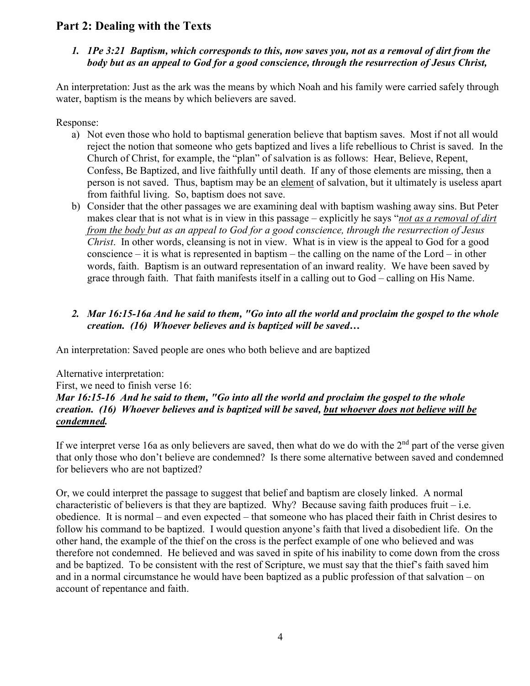# **Part 2: Dealing with the Texts**

# *1. 1Pe 3:21 Baptism, which corresponds to this, now saves you, not as a removal of dirt from the body but as an appeal to God for a good conscience, through the resurrection of Jesus Christ,*

An interpretation: Just as the ark was the means by which Noah and his family were carried safely through water, baptism is the means by which believers are saved.

Response:

- a) Not even those who hold to baptismal generation believe that baptism saves. Most if not all would reject the notion that someone who gets baptized and lives a life rebellious to Christ is saved. In the Church of Christ, for example, the "plan" of salvation is as follows: Hear, Believe, Repent, Confess, Be Baptized, and live faithfully until death. If any of those elements are missing, then a person is not saved. Thus, baptism may be an element of salvation, but it ultimately is useless apart from faithful living. So, baptism does not save.
- b) Consider that the other passages we are examining deal with baptism washing away sins. But Peter makes clear that is not what is in view in this passage – explicitly he says "*not as a removal of dirt from the body but as an appeal to God for a good conscience, through the resurrection of Jesus Christ*. In other words, cleansing is not in view. What is in view is the appeal to God for a good conscience – it is what is represented in baptism – the calling on the name of the Lord – in other words, faith. Baptism is an outward representation of an inward reality. We have been saved by grace through faith. That faith manifests itself in a calling out to God – calling on His Name.

# *2. Mar 16:15-16a And he said to them, "Go into all the world and proclaim the gospel to the whole creation. (16) Whoever believes and is baptized will be saved…*

An interpretation: Saved people are ones who both believe and are baptized

Alternative interpretation:

First, we need to finish verse 16: *Mar 16:15-16 And he said to them, "Go into all the world and proclaim the gospel to the whole creation. (16) Whoever believes and is baptized will be saved, but whoever does not believe will be condemned.* 

If we interpret verse 16a as only believers are saved, then what do we do with the  $2<sup>nd</sup>$  part of the verse given that only those who don't believe are condemned? Is there some alternative between saved and condemned for believers who are not baptized?

Or, we could interpret the passage to suggest that belief and baptism are closely linked. A normal characteristic of believers is that they are baptized. Why? Because saving faith produces fruit  $-i.e.$ obedience. It is normal – and even expected – that someone who has placed their faith in Christ desires to follow his command to be baptized. I would question anyone's faith that lived a disobedient life. On the other hand, the example of the thief on the cross is the perfect example of one who believed and was therefore not condemned. He believed and was saved in spite of his inability to come down from the cross and be baptized. To be consistent with the rest of Scripture, we must say that the thief's faith saved him and in a normal circumstance he would have been baptized as a public profession of that salvation – on account of repentance and faith.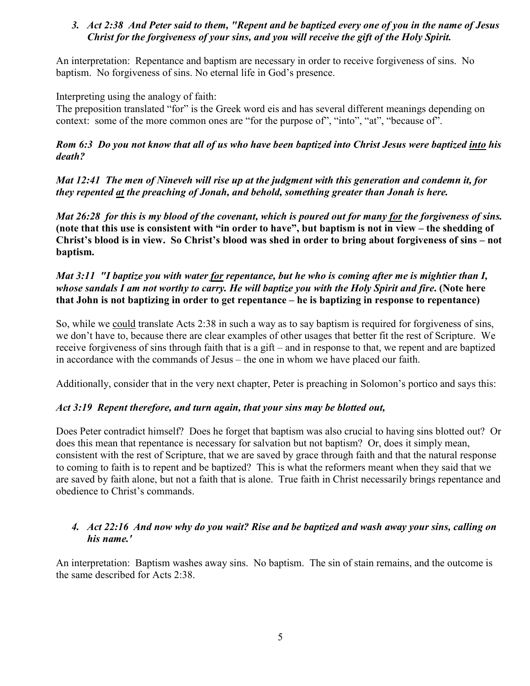### *3. Act 2:38 And Peter said to them, "Repent and be baptized every one of you in the name of Jesus Christ for the forgiveness of your sins, and you will receive the gift of the Holy Spirit.*

An interpretation: Repentance and baptism are necessary in order to receive forgiveness of sins. No baptism. No forgiveness of sins. No eternal life in God's presence.

Interpreting using the analogy of faith:

The preposition translated "for" is the Greek word eis and has several different meanings depending on context: some of the more common ones are "for the purpose of", "into", "at", "because of".

*Rom 6:3 Do you not know that all of us who have been baptized into Christ Jesus were baptized into his death?* 

*Mat 12:41 The men of Nineveh will rise up at the judgment with this generation and condemn it, for they repented at the preaching of Jonah, and behold, something greater than Jonah is here.* 

*Mat 26:28 for this is my blood of the covenant, which is poured out for many for the forgiveness of sins.*  **(note that this use is consistent with "in order to have", but baptism is not in view – the shedding of Christ's blood is in view. So Christ's blood was shed in order to bring about forgiveness of sins – not baptism.** 

# *Mat 3:11 "I baptize you with water for repentance, but he who is coming after me is mightier than I, whose sandals I am not worthy to carry. He will baptize you with the Holy Spirit and fire***. (Note here that John is not baptizing in order to get repentance – he is baptizing in response to repentance)**

So, while we could translate Acts 2:38 in such a way as to say baptism is required for forgiveness of sins, we don't have to, because there are clear examples of other usages that better fit the rest of Scripture. We receive forgiveness of sins through faith that is a gift – and in response to that, we repent and are baptized in accordance with the commands of Jesus – the one in whom we have placed our faith.

Additionally, consider that in the very next chapter, Peter is preaching in Solomon's portico and says this:

## *Act 3:19 Repent therefore, and turn again, that your sins may be blotted out,*

Does Peter contradict himself? Does he forget that baptism was also crucial to having sins blotted out? Or does this mean that repentance is necessary for salvation but not baptism? Or, does it simply mean, consistent with the rest of Scripture, that we are saved by grace through faith and that the natural response to coming to faith is to repent and be baptized? This is what the reformers meant when they said that we are saved by faith alone, but not a faith that is alone. True faith in Christ necessarily brings repentance and obedience to Christ's commands.

## *4. Act 22:16 And now why do you wait? Rise and be baptized and wash away your sins, calling on his name.'*

An interpretation: Baptism washes away sins. No baptism. The sin of stain remains, and the outcome is the same described for Acts 2:38.